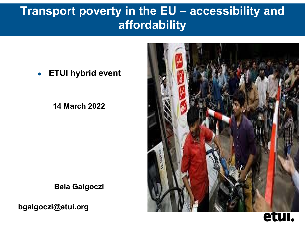# **Transport poverty in the EU – accessibility and affordability**

#### ●**ETUI hybrid event**

**14 March 2022**



**Bela Galgoczi**

**bgalgoczi@etui.org**

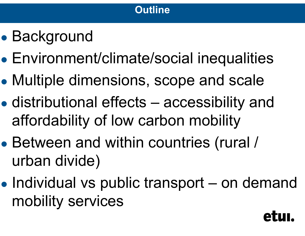

- ●• Background
- ●Environment/climate/social inequalities
- ●Multiple dimensions, scope and scale
- ● distributional effects – accessibility and affordability of low carbon mobility
- ● Between and within countries (rural / urban divide)
- ●• Individual vs public transport – on demand mobility services

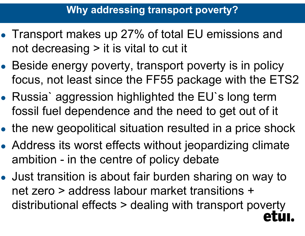- Transport makes up 27% of total EU emissions and not decreasing > it is vital to cut it
- ●• Beside energy poverty, transport poverty is in policy focus, not least since the FF55 package with the ETS2
- ● Russia` aggression highlighted the EU`s long term fossil fuel dependence and the need to get out of it
- ●the new geopolitical situation resulted in a price shock
- ● Address its worst effects without jeopardizing climate ambition - in the centre of policy debate
- ● Just transition is about fair burden sharing on way to net zero > address labour market transitions + distributional effects > dealing with transport poverty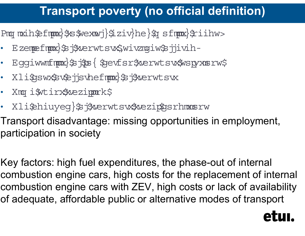# **Transport poverty (no official definition)**

Pmg mxih\$efmpox}\$s\$wexmvj}\$iziv}he}\$g sfmpox}\$riihw>

- •· Ezempefmux}\$j\$xerwtsv\$,wivzngiw\$jjivih-
- •· Eggiwwnfmpox}\$5j\$ps{\$gevfsr\$werwtsvs\$wspyxnsrw\$
- Xli\$gsw\$sv\$jjsvhefmpx}\$j\$xerwtsvx
- Xmq i\$vtirx\$xezippork\$
- •• Xli\$hiuyeg}\$j\$werwtsw\$wezip\$gsrhmmsrw

Transport disadvantage: missing opportunities in employment, participation in society

Key factors: high fuel expenditures, the phase-out of internal combustion engine cars, high costs for the replacement of internal combustion engine cars with ZEV, high costs or lack of availability of adequate, affordable public or alternative modes of transpor t

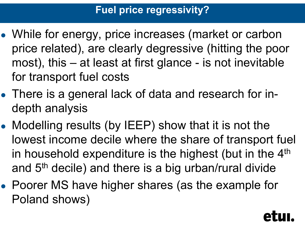## **Fuel price regressivity?**

- ● While for energy, price increases (market or carbon price related), are clearly degressive (hitting the poor most), this – at least at first glance - is not inevitable for transport fuel costs
- ● There is a general lack of data and research for indepth analysis
- ● Modelling results (by IEEP) show that it is not the lowest income decile where the share of transport fuel in household expenditure is the highest (but in the 4<sup>th</sup> and 5th decile) and there is a big urban/rural divide
- ● Poorer MS have higher shares (as the example for Poland shows)

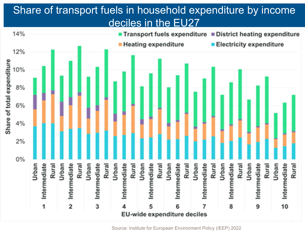## Share of transport fuels in household expenditure by income deciles in the EU27

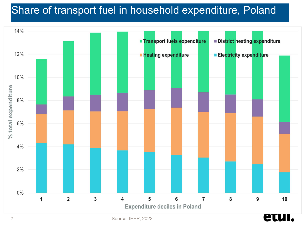## Share of transport fuel in household expenditure, Poland

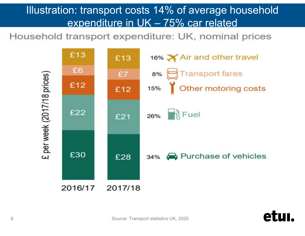## Illustration: transport costs 14% of average household expenditure in UK – 75% car related

Household transport expenditure: UK, nominal prices



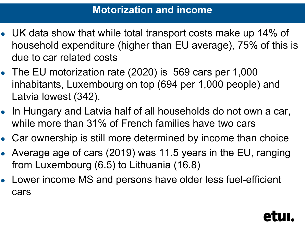### **Motorization and income**

- UK data show that while total transport costs make up 14% of household expenditure (higher than EU average), 75% of this is due to car related costs
- The EU motorization rate (2020) is 569 cars per 1,000 inhabitants, Luxembourg on top (694 per 1,000 people) and Latvia lowest (342).
- In Hungary and Latvia half of all households do not own a car, while more than 31% of French families have two cars
- Car ownership is still more determined by income than choice
- Average age of cars (2019) was 11.5 years in the EU, ranging from Luxembourg (6.5) to Lithuania (16.8)
- Lower income MS and persons have older less fuel-efficient cars

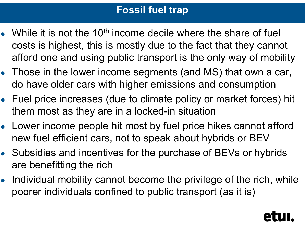## **Fossil fuel trap**

- While it is not the 10<sup>th</sup> income decile where the share of fuel costs is highest, this is mostly due to the fact that they cannot afford one and using public transport is the only way of mobility
- Those in the lower income segments (and MS) that own a car, do have older cars with higher emissions and consumption
- Fuel price increases (due to climate policy or market forces) hit them most as they are in a locked-in situation
- Lower income people hit most by fuel price hikes cannot afford new fuel efficient cars, not to speak about hybrids or BEV
- Subsidies and incentives for the purchase of BEVs or hybrids are benefitting the rich
- ● Individual mobility cannot become the privilege of the rich, while poorer individuals confined to public transport (as it is)

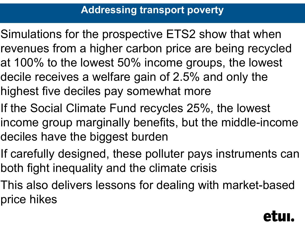- Simulations for the prospective ETS2 show that when revenues from a higher carbon price are being recycled at 100% to the lowest 50% income groups, the lowest decile receives a welfare gain of 2.5% and only the highest five deciles pay somewhat more
- If the Social Climate Fund recycles 25%, the lowest income group marginally benefits, but the middle-income deciles have the biggest burden
- If carefully designed, these polluter pays instruments can both fight inequality and the climate crisis
- This also delivers lessons for dealing with market-based price hikes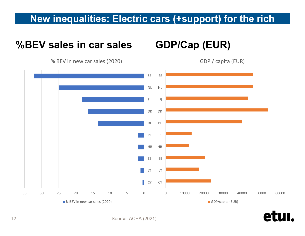#### **New inequalities: Electric cars (+support) for the rich**

GDP / capita (EUR)

#### **%BEV sales in car sales GDP/Cap (EUR)**

% BEV in new car sales (2020)



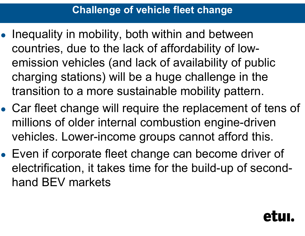## **Challenge of vehicle fleet change**

- ● Inequality in mobility, both within and between countries, due to the lack of affordability of lowemission vehicles (and lack of availability of public charging stations) will be a huge challenge in the transition to a more sustainable mobility pattern.
- ● Car fleet change will require the replacement of tens of millions of older internal combustion engine-driven vehicles. Lower-income groups cannot afford this.
- ● Even if corporate fleet change can become driver of electrification, it takes time for the build-up of secondhand BEV markets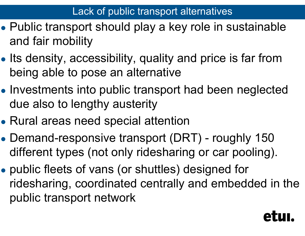- ● Public transport should play a key role in sustainable and fair mobility
- ●• Its density, accessibility, quality and price is far from being able to pose an alternative
- ●• Investments into public transport had been neglected due also to lengthy austerity
- Rural areas need special attention
- ● Demand-responsive transport (DRT) - roughly 150 different types (not only ridesharing or car pooling).
- ● public fleets of vans (or shuttles) designed for ridesharing, coordinated centrally and embedded in the public transport network